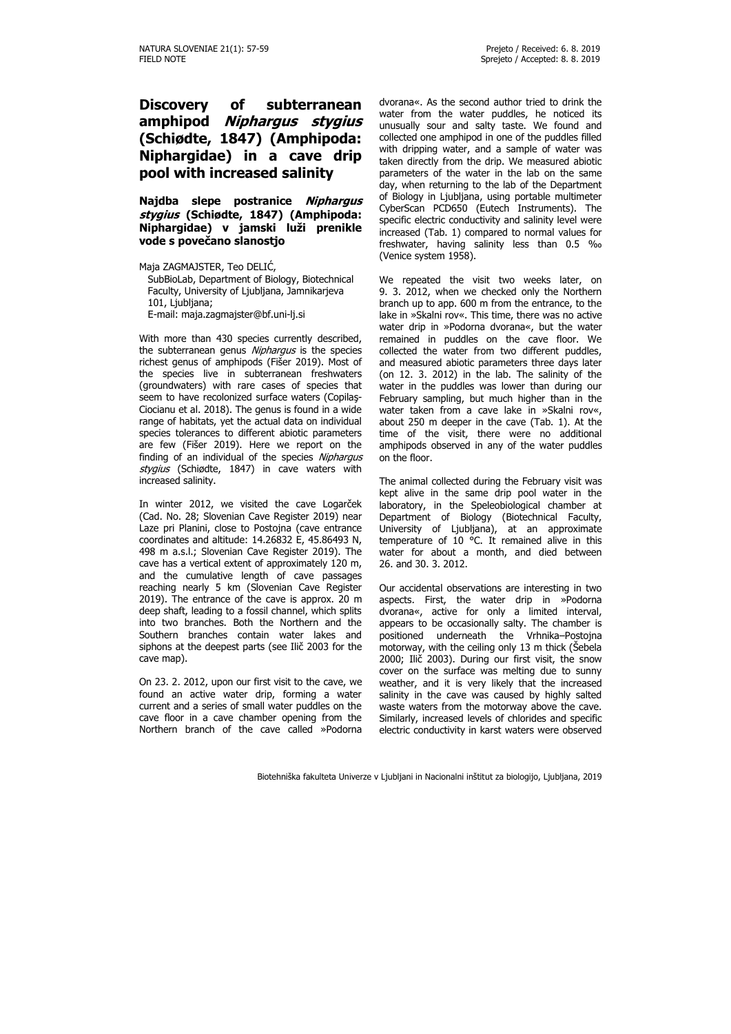## **Discovery of subterranean amphipod Niphargus stygius (Schiødte, 1847) (Amphipoda: Niphargidae) in a cave drip pool with increased salinity**

**Najdba slepe postranice Niphargus stygius (Schiødte, 1847) (Amphipoda: Niphargidae) v jamski luži prenikle vode s povečano slanostjo**

Maja ZAGMAJSTER, Teo DELIĆ, SubBioLab, Department of Biology, Biotechnical Faculty, University of Ljubljana, Jamnikarjeva 101, Ljubljana; E-mail: maja.zagmajster@bf.uni-lj.si

With more than 430 species currently described, the subterranean genus Niphargus is the species richest genus of amphipods (Fišer 2019). Most of the species live in subterranean freshwaters (groundwaters) with rare cases of species that seem to have recolonized surface waters (Copilaş-Ciocianu et al. 2018). The genus is found in a wide range of habitats, yet the actual data on individual species tolerances to different abiotic parameters are few (Fišer 2019). Here we report on the finding of an individual of the species Niphargus stygius (Schiødte, 1847) in cave waters with increased salinity.

In winter 2012, we visited the cave Logarček (Cad. No. 28; Slovenian Cave Register 2019) near Laze pri Planini, close to Postojna (cave entrance coordinates and altitude: 14.26832 E, 45.86493 N, 498 m a.s.l.; Slovenian Cave Register 2019). The cave has a vertical extent of approximately 120 m, and the cumulative length of cave passages reaching nearly 5 km (Slovenian Cave Register 2019). The entrance of the cave is approx. 20 m deep shaft, leading to a fossil channel, which splits into two branches. Both the Northern and the Southern branches contain water lakes and siphons at the deepest parts (see Ilič 2003 for the cave map).

On 23. 2. 2012, upon our first visit to the cave, we found an active water drip, forming a water current and a series of small water puddles on the cave floor in a cave chamber opening from the Northern branch of the cave called »Podorna dvorana«. As the second author tried to drink the water from the water puddles, he noticed its unusually sour and salty taste. We found and collected one amphipod in one of the puddles filled with dripping water, and a sample of water was taken directly from the drip. We measured abiotic parameters of the water in the lab on the same day, when returning to the lab of the Department of Biology in Ljubljana, using portable multimeter CyberScan PCD650 (Eutech Instruments). The specific electric conductivity and salinity level were increased (Tab. 1) compared to normal values for freshwater, having salinity less than 0.5 ‰ (Venice system 1958).

We repeated the visit two weeks later, on 9. 3. 2012, when we checked only the Northern branch up to app. 600 m from the entrance, to the lake in »Skalni rov«. This time, there was no active water drip in »Podorna dvorana«, but the water remained in puddles on the cave floor. We collected the water from two different puddles, and measured abiotic parameters three days later (on 12. 3. 2012) in the lab. The salinity of the water in the puddles was lower than during our February sampling, but much higher than in the water taken from a cave lake in »Skalni rov«, about 250 m deeper in the cave (Tab. 1). At the time of the visit, there were no additional amphipods observed in any of the water puddles on the floor.

The animal collected during the February visit was kept alive in the same drip pool water in the laboratory, in the Speleobiological chamber at Department of Biology (Biotechnical Faculty, University of Ljubljana), at an approximate temperature of 10 °C. It remained alive in this water for about a month, and died between 26. and 30. 3. 2012.

Our accidental observations are interesting in two aspects. First, the water drip in »Podorna dvorana«, active for only a limited interval, appears to be occasionally salty. The chamber is positioned underneath the Vrhnika–Postojna motorway, with the ceiling only 13 m thick (Šebela 2000; Ilič 2003). During our first visit, the snow cover on the surface was melting due to sunny weather, and it is very likely that the increased salinity in the cave was caused by highly salted waste waters from the motorway above the cave. Similarly, increased levels of chlorides and specific electric conductivity in karst waters were observed

Biotehniška fakulteta Univerze v Ljubljani in Nacionalni inštitut za biologijo, Ljubljana, 2019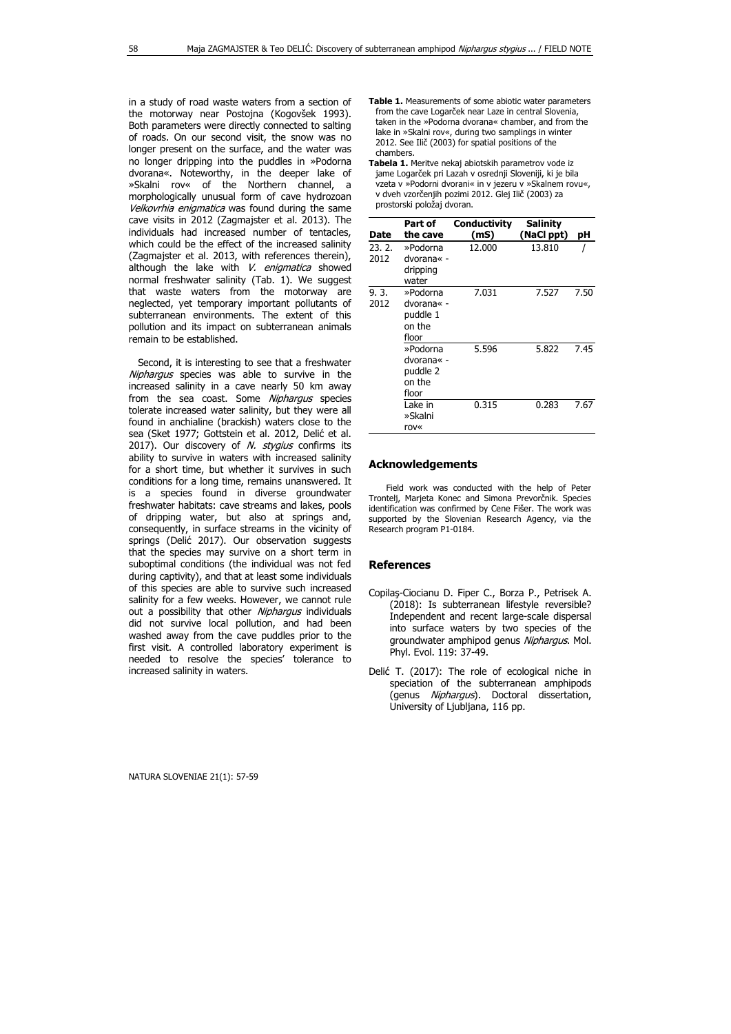in a study of road waste waters from a section of the motorway near Postojna (Kogovšek 1993). Both parameters were directly connected to salting of roads. On our second visit, the snow was no longer present on the surface, and the water was no longer dripping into the puddles in »Podorna dvorana«. Noteworthy, in the deeper lake of »Skalni rov« of the Northern channel, a morphologically unusual form of cave hydrozoan Velkovrhia enigmatica was found during the same cave visits in 2012 (Zagmajster et al. 2013). The individuals had increased number of tentacles, which could be the effect of the increased salinity (Zagmajster et al. 2013, with references therein), although the lake with V. enigmatica showed normal freshwater salinity (Tab. 1). We suggest that waste waters from the motorway are neglected, yet temporary important pollutants of subterranean environments. The extent of this pollution and its impact on subterranean animals remain to be established.

 Second, it is interesting to see that a freshwater Niphargus species was able to survive in the increased salinity in a cave nearly 50 km away from the sea coast. Some Niphargus species tolerate increased water salinity, but they were all found in anchialine (brackish) waters close to the sea (Sket 1977; Gottstein et al. 2012, Delić et al. 2017). Our discovery of N. stygius confirms its ability to survive in waters with increased salinity for a short time, but whether it survives in such conditions for a long time, remains unanswered. It is a species found in diverse groundwater freshwater habitats: cave streams and lakes, pools of dripping water, but also at springs and, consequently, in surface streams in the vicinity of springs (Delić 2017). Our observation suggests that the species may survive on a short term in suboptimal conditions (the individual was not fed during captivity), and that at least some individuals of this species are able to survive such increased salinity for a few weeks. However, we cannot rule out a possibility that other Niphargus individuals did not survive local pollution, and had been washed away from the cave puddles prior to the first visit. A controlled laboratory experiment is needed to resolve the species' tolerance to increased salinity in waters.

- **Table 1.** Measurements of some abiotic water parameters from the cave Logarček near Laze in central Slovenia, taken in the »Podorna dvorana« chamber, and from the lake in »Skalni rov«, during two samplings in winter 2012. See Ilič (2003) for spatial positions of the chambers.
- **Tabela 1.** Meritve nekaj abiotskih parametrov vode iz jame Logarček pri Lazah v osrednij Sloveniji, ki je bila vzeta v »Podorni dvorani« in v jezeru v »Skalnem rovu«, v dveh vzorčenjih pozimi 2012. Glej Ilič (2003) za prostorski položaj dvoran.

| Date          | Part of<br>the cave                                   | Conductivity<br>(mS) | <b>Salinity</b><br>(NaCl ppt) | рH   |
|---------------|-------------------------------------------------------|----------------------|-------------------------------|------|
| 23.2.<br>2012 | »Podorna<br>dvorana« -<br>dripping<br>water           | 12.000               | 13.810                        |      |
| 9.3.<br>2012  | »Podorna<br>dvorana« -<br>puddle 1<br>on the<br>floor | 7.031                | 7.527                         | 7.50 |
|               | »Podorna<br>dvorana« -<br>puddle 2<br>on the<br>floor | 5.596                | 5.822                         | 7.45 |
|               | Lake in<br>»Skalni<br>rov«                            | 0.315                | 0.283                         | 7.67 |

## **Acknowledgements**

Field work was conducted with the help of Peter Trontelj, Marjeta Konec and Simona Prevorčnik. Species identification was confirmed by Cene Fišer. The work was supported by the Slovenian Research Agency, via the Research program P1-0184.

## **References**

- Copilaş-Ciocianu D. Fiper C., Borza P., Petrisek A. (2018): Is subterranean lifestyle reversible? Independent and recent large-scale dispersal into surface waters by two species of the groundwater amphipod genus Niphargus. Mol. Phyl. Evol. 119: 37-49.
- Delić T. (2017): The role of ecological niche in speciation of the subterranean amphipods (genus Niphargus). Doctoral dissertation, University of Ljubljana, 116 pp.

NATURA SLOVENIAE 21(1): 57-59